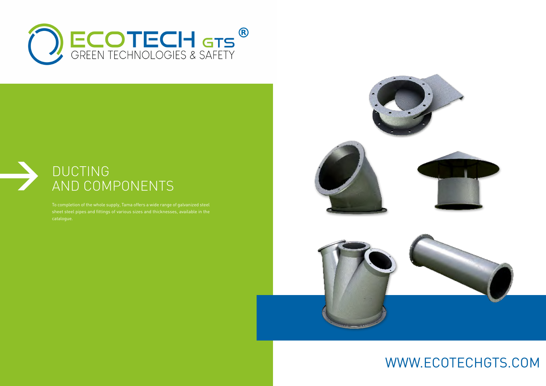To completion of the whole supply, Tama offers a wide range of galvanized steel sheet steel pipes and fittings of various sizes and thicknesses, available in the catalogue.







## DUCTING AND COMPONENTS

# WWW.ECOTECHGTS.COM